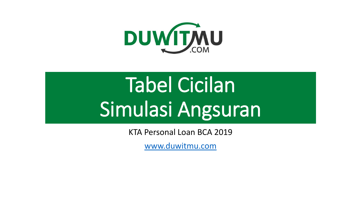

# Tabel Cicilan Simulasi Angsuran

KTA Personal Loan BCA 2019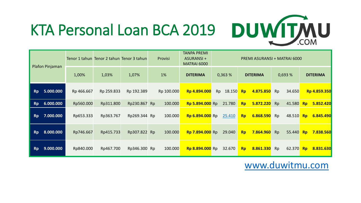

|           | Plafon Pinjaman |            |            | Tenor 1 tahun Tenor 2 tahun Tenor 3 tahun | Provisi    | TANPA PREMI<br>ASURANSI +<br>PREMI ASURANSI + MATRAI 6000<br>MATRAI 6000 |              |                        |  |           |        |                        |  |
|-----------|-----------------|------------|------------|-------------------------------------------|------------|--------------------------------------------------------------------------|--------------|------------------------|--|-----------|--------|------------------------|--|
|           |                 | 1,00%      | 1,03%      | 1,07%                                     | 1%         | <b>DITERIMA</b>                                                          | 0,363%       | <b>DITERIMA</b>        |  | 0,693%    |        | <b>DITERIMA</b>        |  |
| Rp        | 5.000.000       | Rp 466.667 | Rp 259.833 | Rp 192.389                                | Rp 100.000 | Rp 4.894.000                                                             | 18.150<br>Rp | 4.875.850<br><b>Rp</b> |  | Rp        | 34.650 | Rp 4.859.350           |  |
| <b>Rp</b> | 6.000.000       | Rp560.000  | Rp311.800  | Rp230.867 Rp                              | 100.000    | Rp 5.894.000 Rp                                                          | 21.780       | 5.872.220<br><b>Rp</b> |  | <b>Rp</b> | 41.580 | 5.852.420<br>RP        |  |
| <b>Rp</b> | 7.000.000       | Rp653.333  | Rp363.767  | Rp269.344 Rp                              | 100.000    | <b>Rp 6.894.000</b> Rp                                                   | 25.410       | 6.868.590<br><b>Rp</b> |  | Rp        | 48.510 | Rp<br>6.845.490        |  |
| <b>Rp</b> | 8.000.000       | Rp746.667  | Rp415.733  | Rp307.822 Rp                              | 100.000    | <b>Rp 7.894.000</b> Rp                                                   | 29.040       | 7.864.960<br><b>Rp</b> |  | <b>Rp</b> | 55.440 | 7.838.560<br>RP        |  |
| <b>Rp</b> | 9.000.000       | Rp840.000  | Rp467.700  | Rp346.300 Rp                              | 100.000    | Rp 8.894.000 Rp                                                          | 32.670       | 8.861.330<br><b>Rp</b> |  | Rp        | 62.370 | 8.831.630<br><b>Rp</b> |  |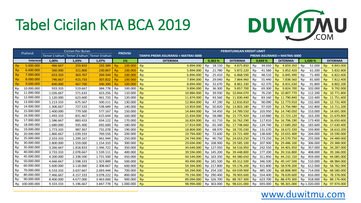### Tabel Cicilan KTA BCA 2019



| Plafond   |                 | <b>Cicilan Per Bulan</b>                      |           |           |                |                | <b>PERHITUNGAN KREDIT LIMIT</b>    |           |                                     |                |                                                   |           |            |                |                                     |                 |              |                |                 |
|-----------|-----------------|-----------------------------------------------|-----------|-----------|----------------|----------------|------------------------------------|-----------|-------------------------------------|----------------|---------------------------------------------------|-----------|------------|----------------|-------------------------------------|-----------------|--------------|----------------|-----------------|
|           |                 | Tenor 1 tahun   Tenor 2 tahun   Tenor 3 tahun |           |           | <b>PROVISI</b> |                | TANPA PREMI ASURANSI + MATRAI 6000 |           | <b>PREMI ASURANSI + MATRAI 6000</b> |                |                                                   |           |            |                |                                     |                 |              |                |                 |
|           | <b>Interest</b> | 1,00%                                         | 1,03%     | 1,07%     |                | 1%             | <b>DITERIMA</b>                    |           | 0,363%                              |                | <b>DITERIMA</b>                                   |           | 0.693%     |                | <b>DITERIMA</b>                     |                 | 1.020 %      |                | <b>DITERIMA</b> |
| <b>Rp</b> | 5.000.000       | 466.667                                       | 259.833   | 192.389   | <b>Rp</b>      | 100.000 Rp     | 4.894.000                          | Rp        | 18.150                              | R <sub>D</sub> | 4.875.850                                         | <b>Rp</b> | 34.650     | R <sub>D</sub> | 4.859.350                           | <b>Rp</b>       | 51.000       | Rn.            | 4.843.000       |
| <b>Rp</b> | 6.000.000       | 560.000                                       | 311.800   | 230.867   | <b>Rp</b>      | 100.000 Rp     | 5.894.000                          | Rp        | 21.780                              | <b>Rp</b>      | 5.872.220                                         | Rp        | 41.580     | <b>Rp</b>      | 5.852.420                           | l Rp            | 61.200       | <b>Rp</b>      | 5.832.800       |
| <b>Rp</b> | 7.000.000       | 653.333                                       | 363.767   | 269.344   | <b>Rp</b>      | 100.000 Rp     | 6.894.000                          | Rp        | 25.410                              | <b>Rp</b>      | 6.868.590                                         | <b>Rp</b> | 48.510     | <b>Rp</b>      | 6.845.490                           | $\sqrt{3}$      | 71.400       | <b>Rn</b>      | 6.822.600       |
| <b>Rp</b> | 8.000.000       | 746.667                                       | 415.733   | 307.822   | <b>Rp</b>      | 100.000 Rp     | 7.894.000                          | Rp        | 29.040                              | <b>Rp</b>      | 7.864.960                                         | Rp        | 55.440     | <b>Rp</b>      | 7.838.560                           | <sup>1</sup> Rp | 81.600       | R <sub>D</sub> | 7.812.400       |
| <b>Rp</b> | 9.000.000       | 840,000                                       | 467.700   | 346.300   | <b>Rp</b>      | 100.000 Rp     | 8.894.000                          | Rp        | 32.670                              | R <sub>D</sub> | 8.861.330                                         | <b>Rp</b> | 62.370     |                | Rp 8.831.630 Rp                     |                 | 91.800       | <b>Rp</b>      | 8.802.200       |
| Rp        | 10.000.000      | 933.333                                       | 519.667   | 384.778   | Rp             | 100.000        | Rp<br>9.894.000                    | <b>Rp</b> | 36.300                              | <b>Rp</b>      | 9.857.700                                         | <b>Rp</b> | 69.300     |                | Rp 9.824.700                        | i Ro            | 102.000      | <b>Rp</b>      | 9.792.000       |
| Rp        | 11.000.000      | 1.026.667                                     | 571.633   | 423.256   | Rp             | 110.000 $Rp$   | 10.884.000                         | Rp        | 39.930                              |                | Rp 10.844.070                                     | Rp        | 76.230     |                | Rp 10.807.770                       | i Rp            | 112.200      |                | Rp 10.771.800   |
| Rp        | 12.000.000      | 1.120.000                                     | 623.600   | 461.733   | Rp             | $120.000$ Rp   | 11.874.000                         | Rp        | 43.560                              |                | Rp 11.830.440                                     | <b>Rp</b> | 83.160     |                | Rp 11.790.840 Rp                    |                 | 122.400      |                | Rp 11.751.600   |
| Rp        | 13.000.000      | 1.213.333                                     | 675.567   | 500.211   | Rp             | 130.000        | 12.864.000<br>Rp                   | Rp        | 47.190                              |                | Rp 12.816.810                                     | Rp        | 90.090     |                | Rp 12.773.910                       |                 | Rp 132.600   |                | Rp 12.731.400   |
| Rp        | 14.000.000      | 1.306.667                                     | 727.533   | 538.689   | Rp             | 140.000        | Rp<br>13.854.000                   | Rp        | 50.820                              |                | Rp 13.803.180                                     | Rp        | 97.020     |                | Rp 13.756.980                       | Rn              | 142.800      |                | Rp 13.711.200   |
| Rp        | 15.000.000      | 1.400.000                                     | 779.500   | 577.167   | Rp             | 150.000        | 14.844.000<br>R <sub>p</sub>       | Rp        | 54.450                              |                | Rp 14.789.550                                     | Rp        | 103.950    |                | Rp 14.740.050                       | Rp              | 153.000      |                | Rp 14.691.000   |
| Rp        | 16.000.000      | 1.493.333                                     | 831.467   | 615.644   | Rp             | $160.000$ Rp   | 15.834.000                         | <b>Rp</b> | 58.080                              |                | Rp 15.775.920                                     |           | Rp 110.880 |                | Rp 15.723.120                       | l Rp            | 163.200      |                | Rp 15.670.800   |
| Rp        | 17.000.000      | 1.586.667                                     | 883.433   | 654.122   | Rp             | 170.000        | Rp<br>16.824.000                   | Rp        | 61.710                              |                | Rp 16.762.290                                     |           | Rp 117.810 |                | Rp 16.706.190                       |                 | Rp 173.400   |                | Rp 16.650.600   |
| Rp        | 18.000.000      | 1.680.000                                     | 935.400   | 692.600   | Rp             | $180.000$ Rp   | 17.814.000                         | <b>Rp</b> | 65.340                              |                | Rp 17.748.660                                     |           |            |                | Rp 124.740 Rp 17.689.260 Rp 183.600 |                 |              |                | Rp 17.630.400   |
| Rp        | 19.000.000      | 1.773.333                                     | 987.367   | 731.078   | Rp             | 190.000        | Rp<br>18.804.000                   | Rp        | 68.970                              |                | Rp 18.735.030                                     |           | Rp 131.670 |                | Rp 18.672.330 Rp 193.800            |                 |              |                | Rp 18.610.200   |
| Rp        | 20.000.000      | 1.866.667                                     | 1.039.333 | 769.556   | Rp             | $200.000$ Rp   | 19.794.000                         | Rp        | 72.600                              |                | Rp 19.721.400                                     |           | Rp 138.600 |                | Rp 19.655.400                       | i Rp            | 204.000      |                | Rp 19.590.000   |
| Rp        | 25.000.000      | 2.333.333                                     | 1.299.167 | 961.944   | Rp             | 250.000        | Rp<br>24.744.000                   | Rp        | 90.750                              |                | Rp 24.653.250                                     |           | Rp 173.250 |                | Rp 24.570.750                       | Rp              | 255.000      |                | Rp 24.489.000   |
| Rp        | 30.000.000      | 2.800.000                                     | 1.559.000 | 1.154.333 | Rp             | 300.000        | <b>Rp</b><br>29.694.000            |           | Rp 108.900                          |                | Rp 29.585.100                                     | Rp        | 207.900    |                | Rp 29.486.100                       | Rp              | 306.000      |                | Rp 29.388.000   |
| Rp        | 35.000.000      | 3.266.667                                     | 1.818.833 | 1.346.722 | Rp             | 350.000        | <b>Rp</b><br>34.644.000            |           | Rp 127.050                          |                | Rp 34.516.950                                     |           |            |                | Rp 242.550 Rp 34.401.450 Rp         |                 | 357.000      |                | Rp 34.287.000   |
| Rp        | 40.000.000      | 3.733.333                                     | 2.078.667 | 1.539.111 | Rp             | 400.000        | 39.594.000<br><b>Rp</b>            |           | Rp 145.200                          |                | Rp 39.448.800                                     |           | Rp 277.200 |                | Rp 39.316.800                       | Rp              | 408.000      |                | Rp 39.186.000   |
| Rp        | 45.000.000      | 4.200.000                                     | 2.338.500 | 1.731.500 | Rp             | 450.000 Rp     | 44.544.000                         |           | Rp 163.350                          |                | Rp 44.380.650                                     |           |            |                | Rp 311.850 Rp 44.232.150 Rp         |                 | 459.000      |                | Rp 44.085.000   |
| Rp        | 50.000.000      | 4.666.667                                     | 2.598.333 | 1.923.889 | Rp             | 500.000 $Rp$   | 49.494.000                         |           | Rp 181.500                          |                | Rp 49.312.500                                     |           | Rp 346.500 |                | Rp 49.147.500                       |                 | Rp 510.000   |                | Rp 48.984.000   |
| Rp        | 60.000.000      | 5.600.000                                     | 3.118.000 | 2.308.667 | Rp             | $600.000$   Rp | 59.394.000                         |           | Rp 217.800                          |                | Rp 59.176.200                                     |           |            |                | Rp 415.800 Rp 58.978.200            |                 | Rp 612.000   |                | Rp 58.782.000   |
| Rp        | 70.000.000      | 6.533.333                                     | 3.637.667 | 2.693.444 | Rp             | 700.000        | <b>Rp</b><br>69.294.000            |           | Rp 254.100                          |                | Rp 69.039.900                                     |           | Rp 485.100 |                | Rp 68.808.900                       | Rn              | 714.000      |                | Rp 68.580.000   |
| Rp        | 80.000.000      | 7.466.667                                     | 4.157.333 | 3.078.222 | Rp             | 800.000        | <b>Rp</b><br>79.194.000            |           | Rp 290.400                          |                | Rp 78.903.600                                     | Rp        | 554.400    |                | Rp 78.639.600                       | Rp              | 816.000      |                | Rp 78.378.000   |
| Rp        | 90.000.000      | 8.400.000                                     | 4.677.000 | 3.463.000 | Rp             | 900.000        | <b>Rp</b><br>89.094.000            |           | Rp 326.700                          |                | Rp 88.767.300                                     | Rp        |            |                | 623.700 Rp 88.470.300               |                 | Rp 918.000   |                | Rp 88.176.000   |
|           | Rp 100.000.000  | 9.333.333                                     | 5.196.667 | 3.847.778 |                | Rp 1.000.000   | Rp<br>98.994.000                   |           |                                     |                | Rp 363.000 Rp 98.631.000 Rp 693.000 Rp 98.301.000 |           |            |                |                                     |                 | Rp 1.020.000 |                | Rp 97.974.000   |